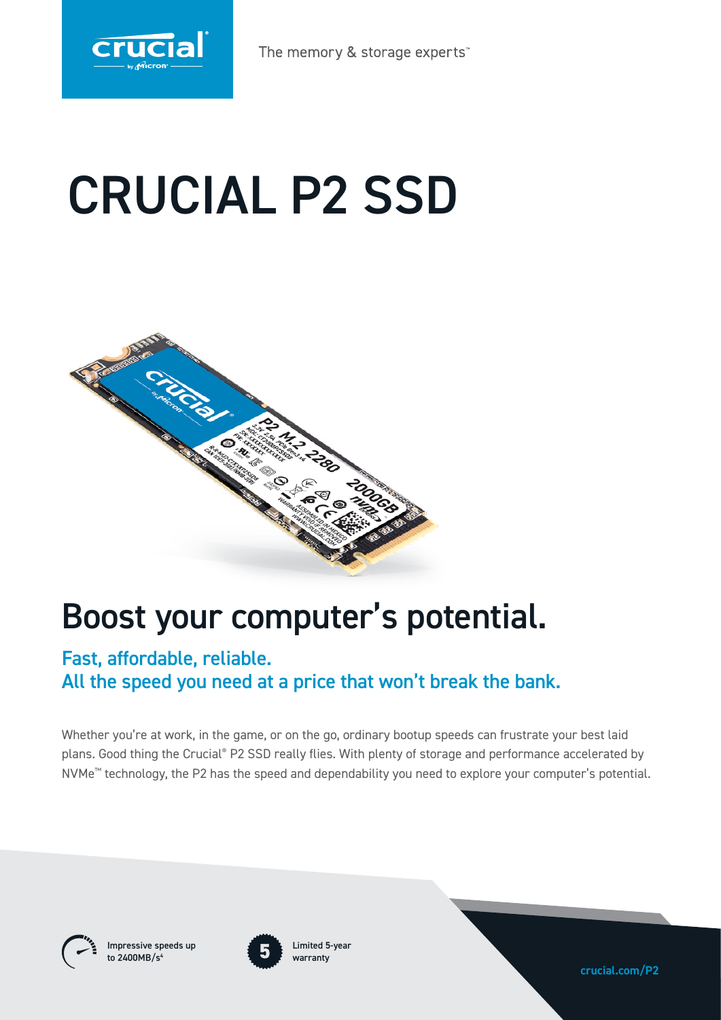

# CRUCIAL P2 SSD



## Boost your computer's potential.

### Fast, affordable, reliable. All the speed you need at a price that won't break the bank.

Whether you're at work, in the game, or on the go, ordinary bootup speeds can frustrate your best laid plans. Good thing the Crucial® P2 SSD really flies. With plenty of storage and performance accelerated by NVMe™ technology, the P2 has the speed and dependability you need to explore your computer's potential.



Impressive speeds up to 2400MB/s



Limited 5-year warranty

**crucial.com/P2**